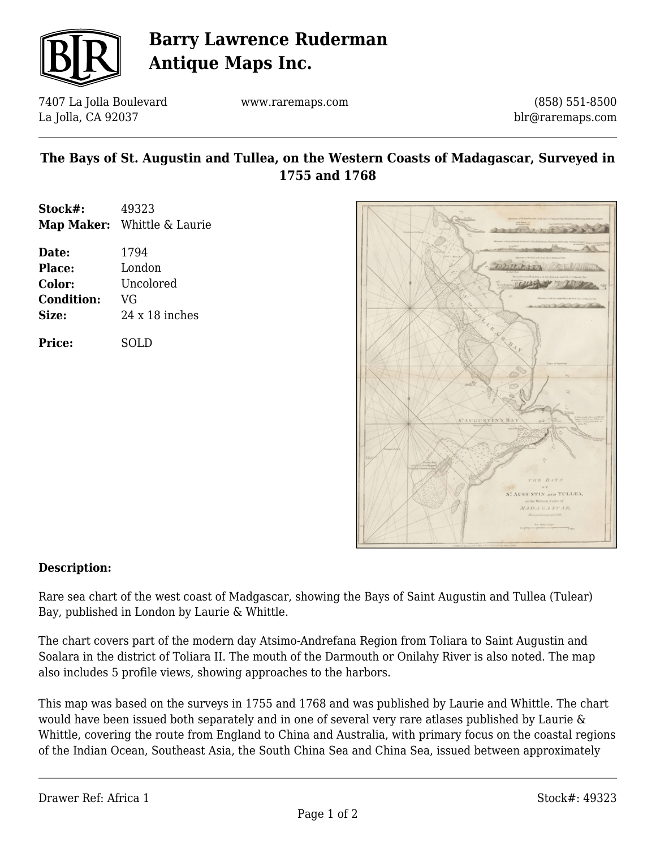

## **Barry Lawrence Ruderman Antique Maps Inc.**

7407 La Jolla Boulevard La Jolla, CA 92037

www.raremaps.com

(858) 551-8500 blr@raremaps.com

### **The Bays of St. Augustin and Tullea, on the Western Coasts of Madagascar, Surveyed in 1755 and 1768**

| Stock#: | 49323                       |
|---------|-----------------------------|
|         | Map Maker: Whittle & Laurie |

| Date:             | 1794                  |
|-------------------|-----------------------|
| <b>Place:</b>     | London                |
| Color:            | Uncolored             |
| <b>Condition:</b> | VG                    |
| Size:             | $24 \times 18$ inches |
|                   |                       |

**Price:** SOLD



#### **Description:**

Rare sea chart of the west coast of Madgascar, showing the Bays of Saint Augustin and Tullea (Tulear) Bay, published in London by Laurie & Whittle.

The chart covers part of the modern day Atsimo-Andrefana Region from Toliara to Saint Augustin and Soalara in the district of Toliara II. The mouth of the Darmouth or Onilahy River is also noted. The map also includes 5 profile views, showing approaches to the harbors.

This map was based on the surveys in 1755 and 1768 and was published by Laurie and Whittle. The chart would have been issued both separately and in one of several very rare atlases published by Laurie & Whittle, covering the route from England to China and Australia, with primary focus on the coastal regions of the Indian Ocean, Southeast Asia, the South China Sea and China Sea, issued between approximately